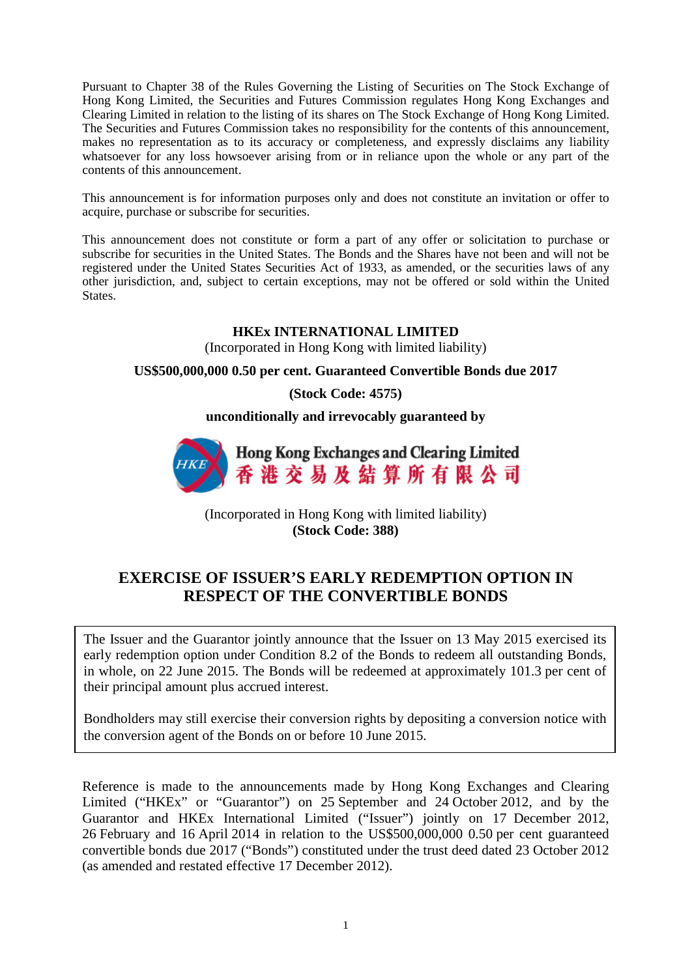Pursuant to Chapter 38 of the Rules Governing the Listing of Securities on The Stock Exchange of Hong Kong Limited, the Securities and Futures Commission regulates Hong Kong Exchanges and Clearing Limited in relation to the listing of its shares on The Stock Exchange of Hong Kong Limited. The Securities and Futures Commission takes no responsibility for the contents of this announcement, makes no representation as to its accuracy or completeness, and expressly disclaims any liability whatsoever for any loss howsoever arising from or in reliance upon the whole or any part of the contents of this announcement.

This announcement is for information purposes only and does not constitute an invitation or offer to acquire, purchase or subscribe for securities.

This announcement does not constitute or form a part of any offer or solicitation to purchase or subscribe for securities in the United States. The Bonds and the Shares have not been and will not be registered under the United States Securities Act of 1933, as amended, or the securities laws of any other jurisdiction, and, subject to certain exceptions, may not be offered or sold within the United States.

## **HKEx INTERNATIONAL LIMITED**

(Incorporated in Hong Kong with limited liability)

## **US\$500,000,000 0.50 per cent. Guaranteed Convertible Bonds due 2017**

**(Stock Code: 4575)**

**unconditionally and irrevocably guaranteed by**



(Incorporated in Hong Kong with limited liability) **(Stock Code: 388)**

## **EXERCISE OF ISSUER'S EARLY REDEMPTION OPTION IN RESPECT OF THE CONVERTIBLE BONDS**

The Issuer and the Guarantor jointly announce that the Issuer on 13 May 2015 exercised its early redemption option under Condition 8.2 of the Bonds to redeem all outstanding Bonds, in whole, on 22 June 2015. The Bonds will be redeemed at approximately 101.3 per cent of their principal amount plus accrued interest.

Bondholders may still exercise their conversion rights by depositing a conversion notice with the conversion agent of the Bonds on or before 10 June 2015.

Reference is made to the announcements made by Hong Kong Exchanges and Clearing Limited ("HKEx" or "Guarantor") on 25 September and 24 October 2012, and by the Guarantor and HKEx International Limited ("Issuer") jointly on 17 December 2012, 26 February and 16 April 2014 in relation to the US\$500,000,000 0.50 per cent guaranteed convertible bonds due 2017 ("Bonds") constituted under the trust deed dated 23 October 2012 (as amended and restated effective 17 December 2012).